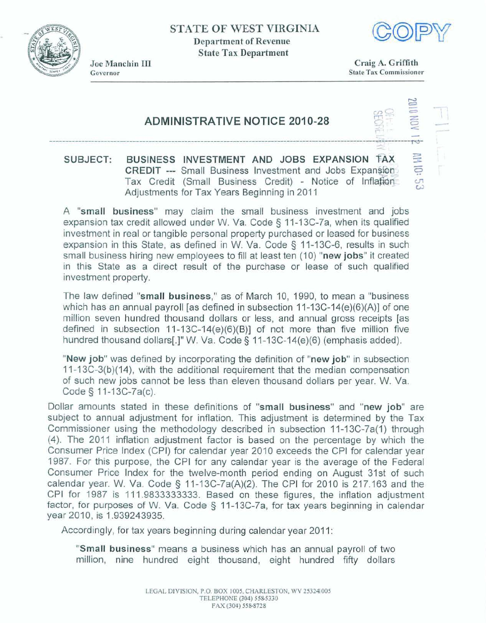**STATE OF WEST VIRGTNIA Department of Revenue State Tax Department** 





Joe Manchin III Governor

**Craig A. Griffith State Tax Commissioner** 

- 5<br>2

## **ADMINISTRATIVE NOTICE 2010-28** --- ----- -\_-\_\_-- **l'-FV~**

## **PPIECT: BUSINESS INVESTMENT AND JOBS EXPANSION TAX <br><b>CREDIT** --- Small Business Investment and Jobs Expansion **CREDIT ---** Small Business Investment and Jobs Expansion Tax Credit (Small Business Credit) - Notice of Inflation<br>Adjustments for Tax Years Beginning in 2011

**A "small business" may claim the** small business **investment** and jobs expansion tax credit allowed under W. Va. Code § 11-13C-7a, when its qualified **investment in real or tangible personal property purchased or leased for business expansion in this State, as defined in W. Va. Code § 11-13C-6, results in such small business hiring new employees to fill at least ten (10) "new jobs" it created in this State, as defined in W. Va. Code § 11-13C-6, resul** in this State as a direct result of the purchase **or lease** of such **qualified investment** property.

The law defined "small **business," as** of March 10, 1990, to **mean** a **"business**  which has an annual payroll [as defined in subsection 11-13C-14(e)(6)(A)] of one **million seven** hundred thousand dollars or **less,** and **annual gross** receipts **[as**  defined in subsection  $11-13C-14(e)(6)(B)$ ] of not more than five million five hundred thousand dollars[.]" W. Va. Code § 11-13C-14(e)(6) (emphasis added).

**"New job"** was defined by incorporating the definition of "new job" in subsection **11 -1 3C-3(b)(14), with the** additional requirement that the median **compensation**  of such **new** jobs cannot be less than eleven thousand dollars per year. W. Va. **Code** *5* 1 **1-1 3C-7a(c).** 

Dollar amounts stated in these definitions of "small business" and "new job" are **subject** to **annual** adjustment **for** inflation. This **adjustment** is determined by the Tax Commissioner using the methodology described in subsection 11-13C-7a(1) through (4). **The 2011 inflation adjustment factor is based** on the percentage by which the **Consumer** Price Index **(CPI)** for calendar year 2010 exceeds the CPI for calendar year 1987. For this purpose, the CPI for any calendar **year is the average of** the Federal Consumer Price Index for the twelve-month period ending on August **31st** of **such**  calendar year. W. Va. Code § 11-13C-7a $(A)(2)$ . The CPI for 2010 is 217.163 and the CPI for 1987 is **11** 1.9833333333. **Based** on these figures, the inflation **adjustment**  factor, for purposes of W. Va. **Code 3** 11-13C-7a, for tax years beginning in calendar year 2010, is 1.939243935.

Accordingly, for tax years beginning during calendar year 2011:

**"Small business"** means **a business** which has an annual payroll of two million, **nine** hundred **eight thousand,** eight hundred fiffy dollars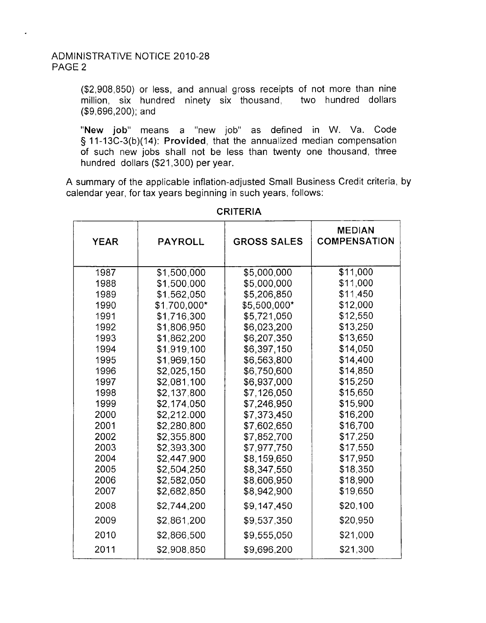(\$2,908,850) or less, and annual gross receipts of not more than nine million, six hundred ninety six thousand, two hundred dollars (\$9,696,200); and

"New **job"** means a "new job" as defined in W. Va. Code § 11-13C-3(b)(14): Provided, that the annualized median compensation of such new jobs shall not be less than twenty one thousand, three hundred dollars (\$21,300) per year.

A summary of the applicable inflation-adjusted Small Business Credit criteria, by calendar year, for tax years beginning in such years, follows:

| <b>YEAR</b> | <b>PAYROLL</b> | <b>GROSS SALES</b> | <b>MEDIAN</b><br><b>COMPENSATION</b> |
|-------------|----------------|--------------------|--------------------------------------|
| 1987        | \$1,500,000    | \$5,000,000        | \$11,000                             |
| 1988        | \$1,500,000    | \$5,000,000        | \$11,000                             |
| 1989        | \$1,562,050    | \$5,206,850        | \$11,450                             |
| 1990        | \$1,700,000*   | \$5,500,000*       | \$12,000                             |
| 1991        | \$1,716,300    | \$5,721,050        | \$12,550                             |
| 1992        | \$1,806,950    | \$6,023,200        | \$13,250                             |
| 1993        | \$1,862,200    | \$6,207,350        | \$13,650                             |
| 1994        | \$1,919,100    | \$6,397,150        | \$14,050                             |
| 1995        | \$1,969,150    | \$6,563,800        | \$14,400                             |
| 1996        | \$2,025,150    | \$6,750,600        | \$14,850                             |
| 1997        | \$2.081,100    | \$6,937,000        | \$15,250                             |
| 1998        | \$2,137,800    | \$7,126,050        | \$15,650                             |
| 1999        | \$2,174,050    | \$7,246,950        | \$15,900                             |
| 2000        | \$2,212.000    | \$7,373,450        | \$16,200                             |
| 2001        | \$2,280,800    | \$7,602,650        | \$16,700                             |
| 2002        | \$2,355,800    | \$7,852,700        | \$17,250                             |
| 2003        | \$2,393,300    | \$7,977,750        | \$17,550                             |
| 2004        | \$2,447,900    | \$8,159,650        | \$17,950                             |
| 2005        | \$2,504,250    | \$8,347,550        | \$18,350                             |
| 2006        | \$2,582,050    | \$8,606,950        | \$18,900                             |
| 2007        | \$2,682,850    | \$8,942,900        | \$19,650                             |
| 2008        | \$2,744,200    | \$9,147,450        | \$20,100                             |
| 2009        | \$2,861,200    | \$9,537,350        | \$20,950                             |
| 2010        | \$2,866,500    | \$9,555,050        | \$21,000                             |
| 2011        | \$2,908,850    | \$9,696,200        | \$21,300                             |

## CRITERIA